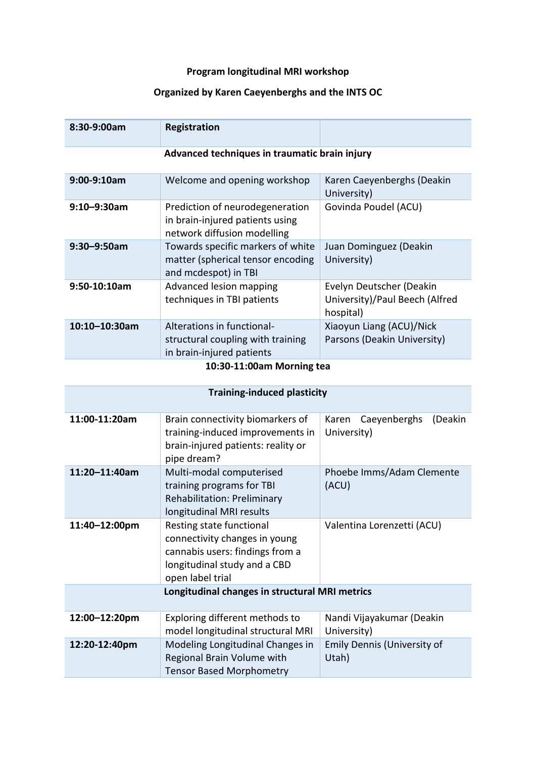## **Program longitudinal MRI workshop**

## **Organized by Karen Caeyenberghs and the INTS OC**

| 8:30-9:00am                                   | Registration                                                                                      |                                                                         |
|-----------------------------------------------|---------------------------------------------------------------------------------------------------|-------------------------------------------------------------------------|
| Advanced techniques in traumatic brain injury |                                                                                                   |                                                                         |
| $9:00-9:10am$                                 | Welcome and opening workshop                                                                      | Karen Caeyenberghs (Deakin<br>University)                               |
| $9:10 - 9:30$ am                              | Prediction of neurodegeneration<br>in brain-injured patients using<br>network diffusion modelling | Govinda Poudel (ACU)                                                    |
| $9:30 - 9:50$ am                              | Towards specific markers of white<br>matter (spherical tensor encoding<br>and mcdespot) in TBI    | Juan Dominguez (Deakin<br>University)                                   |
| $9:50-10:10am$                                | Advanced lesion mapping<br>techniques in TBI patients                                             | Evelyn Deutscher (Deakin<br>University)/Paul Beech (Alfred<br>hospital) |
| $10:10 - 10:30$ am                            | Alterations in functional-<br>structural coupling with training<br>in brain-injured patients      | Xiaoyun Liang (ACU)/Nick<br>Parsons (Deakin University)                 |
| 10:30-11:00am Morning tea                     |                                                                                                   |                                                                         |

| <b>Training-induced plasticity</b> |                                                                                                                                                  |                                                 |
|------------------------------------|--------------------------------------------------------------------------------------------------------------------------------------------------|-------------------------------------------------|
| 11:00-11:20am                      | Brain connectivity biomarkers of<br>training-induced improvements in<br>brain-injured patients: reality or<br>pipe dream?                        | Caeyenberghs<br>(Deakin<br>Karen<br>University) |
| 11:20-11:40am                      | Multi-modal computerised<br>training programs for TBI<br><b>Rehabilitation: Preliminary</b><br>longitudinal MRI results                          | Phoebe Imms/Adam Clemente<br>(ACU)              |
| 11:40-12:00pm                      | Resting state functional<br>connectivity changes in young<br>cannabis users: findings from a<br>longitudinal study and a CBD<br>open label trial | Valentina Lorenzetti (ACU)                      |
|                                    | Longitudinal changes in structural MRI metrics                                                                                                   |                                                 |
| 12:00-12:20pm                      | Exploring different methods to<br>model longitudinal structural MRI                                                                              | Nandi Vijayakumar (Deakin<br>University)        |
| 12:20-12:40pm                      | Modeling Longitudinal Changes in<br>Regional Brain Volume with<br><b>Tensor Based Morphometry</b>                                                | Emily Dennis (University of<br>Utah)            |